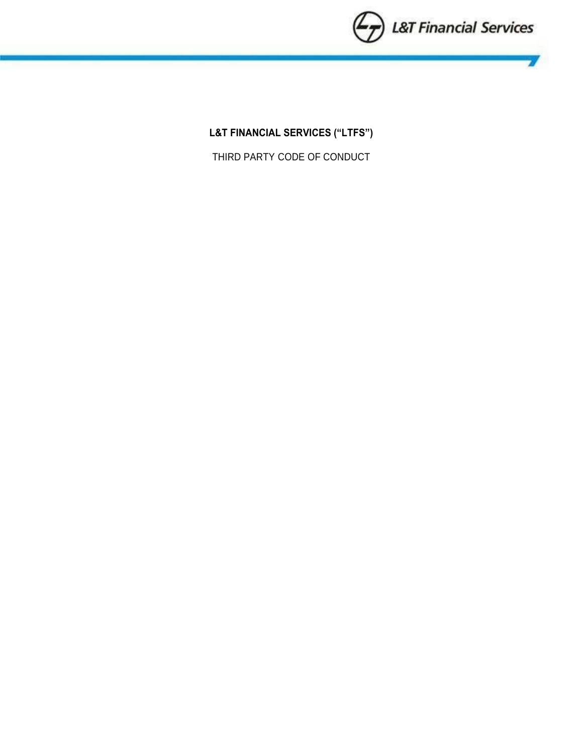

**L&T FINANCIAL SERVICES ("LTFS")**

THIRD PARTY CODE OF CONDUCT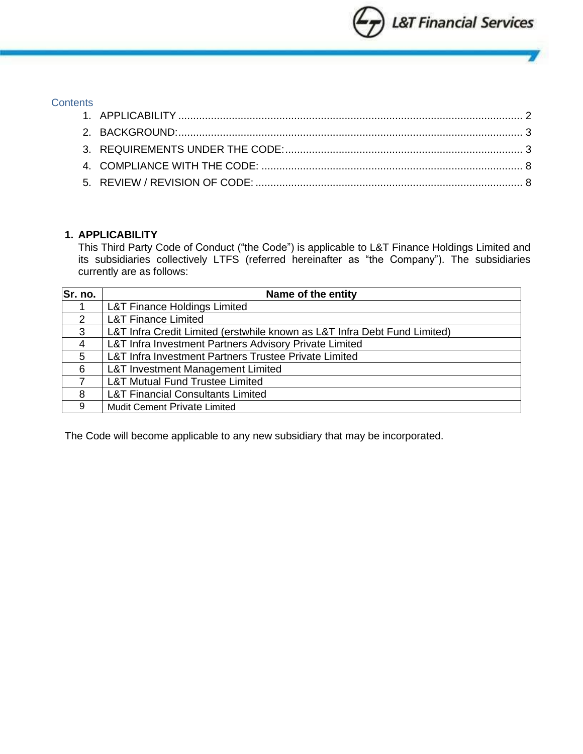

#### **Contents**

# <span id="page-1-0"></span>**1. APPLICABILITY**

This Third Party Code of Conduct ("the Code") is applicable to L&T Finance Holdings Limited and its subsidiaries collectively LTFS (referred hereinafter as "the Company"). The subsidiaries currently are as follows:

| Sr. no.       | Name of the entity                                                        |
|---------------|---------------------------------------------------------------------------|
|               | <b>L&amp;T Finance Holdings Limited</b>                                   |
| $\mathcal{P}$ | <b>L&amp;T Finance Limited</b>                                            |
| 3             | L&T Infra Credit Limited (erstwhile known as L&T Infra Debt Fund Limited) |
| 4             | L&T Infra Investment Partners Advisory Private Limited                    |
| 5             | L&T Infra Investment Partners Trustee Private Limited                     |
| 6             | <b>L&amp;T Investment Management Limited</b>                              |
|               | <b>L&amp;T Mutual Fund Trustee Limited</b>                                |
| 8             | <b>L&amp;T Financial Consultants Limited</b>                              |
| 9             | <b>Mudit Cement Private Limited</b>                                       |

The Code will become applicable to any new subsidiary that may be incorporated.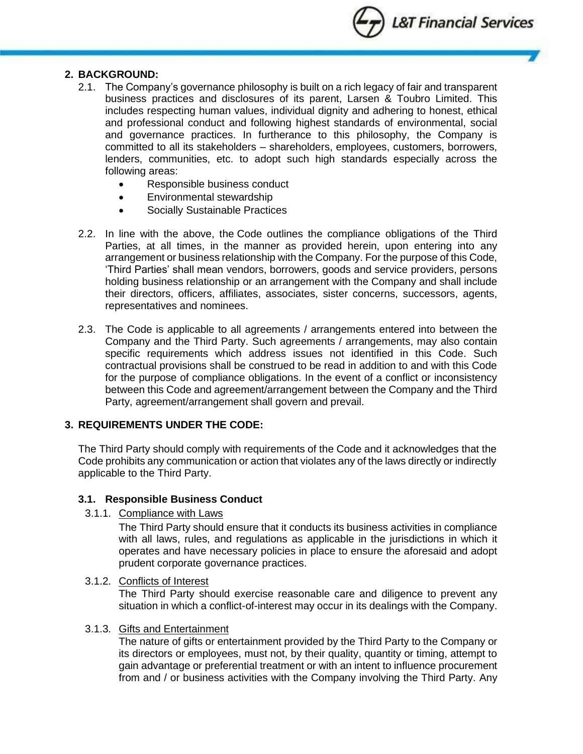L&T Financial Services

### <span id="page-2-0"></span>**2. BACKGROUND:**

- 2.1. The Company's governance philosophy is built on a rich legacy of fair and transparent business practices and disclosures of its parent, Larsen & Toubro Limited. This includes respecting human values, individual dignity and adhering to honest, ethical and professional conduct and following highest standards of environmental, social and governance practices. In furtherance to this philosophy, the Company is committed to all its stakeholders – shareholders, employees, customers, borrowers, lenders, communities, etc. to adopt such high standards especially across the following areas:
	- Responsible business conduct
	- Environmental stewardship
	- Socially Sustainable Practices
- 2.2. In line with the above, the Code outlines the compliance obligations of the Third Parties, at all times, in the manner as provided herein, upon entering into any arrangement or business relationship with the Company. For the purpose of this Code, 'Third Parties' shall mean vendors, borrowers, goods and service providers, persons holding business relationship or an arrangement with the Company and shall include their directors, officers, affiliates, associates, sister concerns, successors, agents, representatives and nominees.
- 2.3. The Code is applicable to all agreements / arrangements entered into between the Company and the Third Party. Such agreements / arrangements, may also contain specific requirements which address issues not identified in this Code. Such contractual provisions shall be construed to be read in addition to and with this Code for the purpose of compliance obligations. In the event of a conflict or inconsistency between this Code and agreement/arrangement between the Company and the Third Party, agreement/arrangement shall govern and prevail.

#### <span id="page-2-1"></span>**3. REQUIREMENTS UNDER THE CODE:**

The Third Party should comply with requirements of the Code and it acknowledges that the Code prohibits any communication or action that violates any of the laws directly or indirectly applicable to the Third Party.

#### **3.1. Responsible Business Conduct**

3.1.1. Compliance with Laws

The Third Party should ensure that it conducts its business activities in compliance with all laws, rules, and regulations as applicable in the jurisdictions in which it operates and have necessary policies in place to ensure the aforesaid and adopt prudent corporate governance practices.

#### 3.1.2. Conflicts of Interest

The Third Party should exercise reasonable care and diligence to prevent any situation in which a conflict-of-interest may occur in its dealings with the Company.

## 3.1.3. Gifts and Entertainment

The nature of gifts or entertainment provided by the Third Party to the Company or its directors or employees, must not, by their quality, quantity or timing, attempt to gain advantage or preferential treatment or with an intent to influence procurement from and / or business activities with the Company involving the Third Party. Any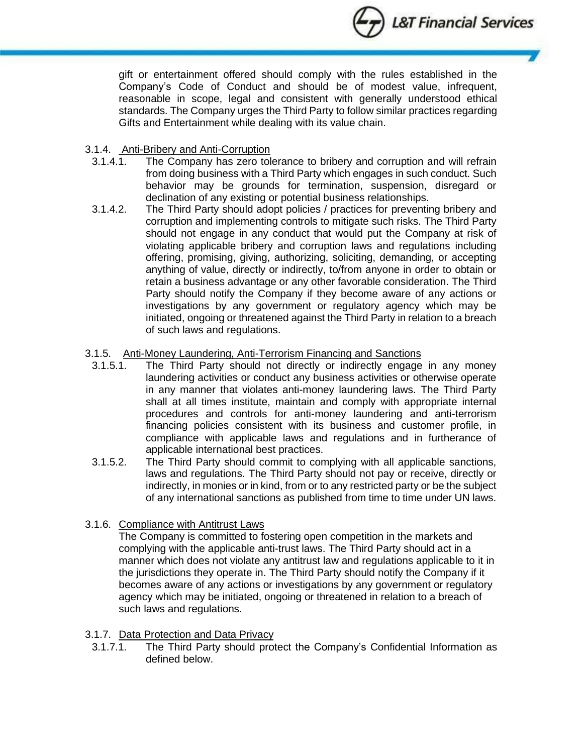

gift or entertainment offered should comply with the rules established in the Company's Code of Conduct and should be of modest value, infrequent, reasonable in scope, legal and consistent with generally understood ethical standards. The Company urges the Third Party to follow similar practices regarding Gifts and Entertainment while dealing with its value chain.

## 3.1.4. Anti-Bribery and Anti-Corruption

- 3.1.4.1. The Company has zero tolerance to bribery and corruption and will refrain from doing business with a Third Party which engages in such conduct. Such behavior may be grounds for termination, suspension, disregard or declination of any existing or potential business relationships.
- 3.1.4.2. The Third Party should adopt policies / practices for preventing bribery and corruption and implementing controls to mitigate such risks. The Third Party should not engage in any conduct that would put the Company at risk of violating applicable bribery and corruption laws and regulations including offering, promising, giving, authorizing, soliciting, demanding, or accepting anything of value, directly or indirectly, to/from anyone in order to obtain or retain a business advantage or any other favorable consideration. The Third Party should notify the Company if they become aware of any actions or investigations by any government or regulatory agency which may be initiated, ongoing or threatened against the Third Party in relation to a breach of such laws and regulations.

## 3.1.5. Anti-Money Laundering, Anti-Terrorism Financing and Sanctions

- 3.1.5.1. The Third Party should not directly or indirectly engage in any money laundering activities or conduct any business activities or otherwise operate in any manner that violates anti-money laundering laws. The Third Party shall at all times institute, maintain and comply with appropriate internal procedures and controls for anti-money laundering and anti-terrorism financing policies consistent with its business and customer profile, in compliance with applicable laws and regulations and in furtherance of applicable international best practices.
- 3.1.5.2. The Third Party should commit to complying with all applicable sanctions, laws and regulations. The Third Party should not pay or receive, directly or indirectly, in monies or in kind, from or to any restricted party or be the subject of any international sanctions as published from time to time under UN laws.
- 3.1.6. [Compliance with Antitrust Laws](https://www.lawinsider.com/clause/compliance-with-antitrust-laws)

The Company is committed to fostering open competition in the markets and complying with the applicable anti-trust laws. The Third Party should act in a manner which does not violate any antitrust law and regulations applicable to it in the jurisdictions they operate in. The Third Party should notify the Company if it becomes aware of any actions or investigations by any government or regulatory agency which may be initiated, ongoing or threatened in relation to a breach of such laws and regulations.

## 3.1.7. Data Protection and Data Privacy

3.1.7.1. The Third Party should protect the Company's Confidential Information as defined below.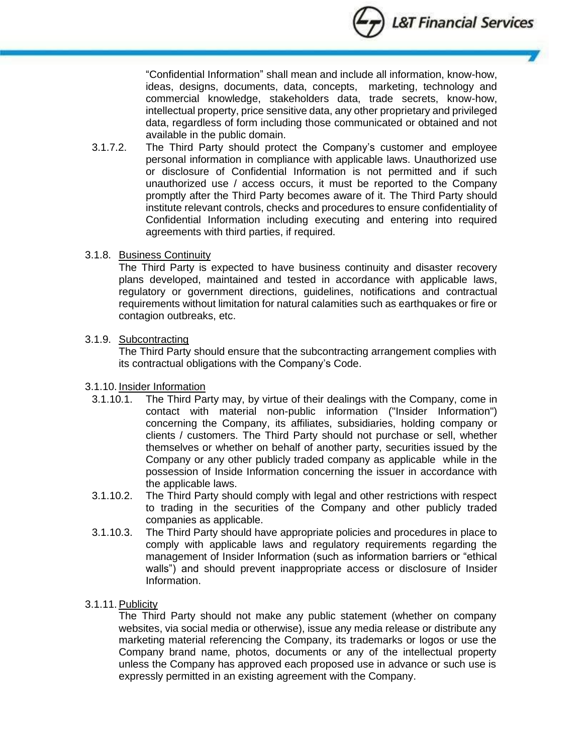

"Confidential Information" shall mean and include all information, know-how, ideas, designs, documents, data, concepts, marketing, technology and commercial knowledge, stakeholders data, trade secrets, know-how, intellectual property, price sensitive data, any other proprietary and privileged data, regardless of form including those communicated or obtained and not available in the public domain.

3.1.7.2. The Third Party should protect the Company's customer and employee personal information in compliance with applicable laws. Unauthorized use or disclosure of Confidential Information is not permitted and if such unauthorized use / access occurs, it must be reported to the Company promptly after the Third Party becomes aware of it. The Third Party should institute relevant controls, checks and procedures to ensure confidentiality of Confidential Information including executing and entering into required agreements with third parties, if required.

## 3.1.8. Business Continuity

The Third Party is expected to have business continuity and disaster recovery plans developed, maintained and tested in accordance with applicable laws, regulatory or government directions, guidelines, notifications and contractual requirements without limitation for natural calamities such as earthquakes or fire or contagion outbreaks, etc.

## 3.1.9. Subcontracting

The Third Party should ensure that the subcontracting arrangement complies with its contractual obligations with the Company's Code.

## 3.1.10. Insider Information

- 3.1.10.1. The Third Party may, by virtue of their dealings with the Company, come in contact with material non-public information ("Insider Information") concerning the Company, its affiliates, subsidiaries, holding company or clients / customers. The Third Party should not purchase or sell, whether themselves or whether on behalf of another party, securities issued by the Company or any other publicly traded company as applicable while in the possession of Inside Information concerning the issuer in accordance with the applicable laws.
- 3.1.10.2. The Third Party should comply with legal and other restrictions with respect to trading in the securities of the Company and other publicly traded companies as applicable.
- 3.1.10.3. The Third Party should have appropriate policies and procedures in place to comply with applicable laws and regulatory requirements regarding the management of Insider Information (such as information barriers or "ethical walls") and should prevent inappropriate access or disclosure of Insider Information.

## 3.1.11. Publicity

The Third Party should not make any public statement (whether on company websites, via social media or otherwise), issue any media release or distribute any marketing material referencing the Company, its trademarks or logos or use the Company brand name, photos, documents or any of the intellectual property unless the Company has approved each proposed use in advance or such use is expressly permitted in an existing agreement with the Company.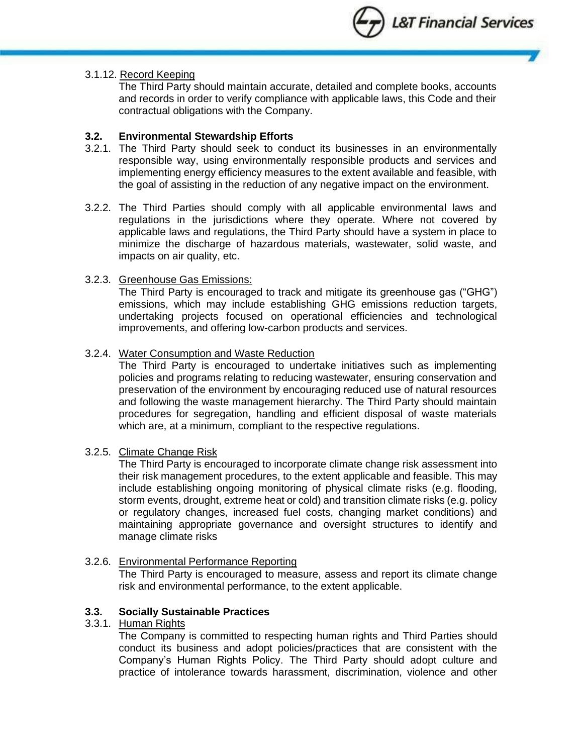

#### 3.1.12. Record Keeping

The Third Party should maintain accurate, detailed and complete books, accounts and records in order to verify compliance with applicable laws, this Code and their contractual obligations with the Company.

#### **3.2. Environmental Stewardship Efforts**

- 3.2.1. The Third Party should seek to conduct its businesses in an environmentally responsible way, using environmentally responsible products and services and implementing energy efficiency measures to the extent available and feasible, with the goal of assisting in the reduction of any negative impact on the environment.
- 3.2.2. The Third Parties should comply with all applicable environmental laws and regulations in the jurisdictions where they operate. Where not covered by applicable laws and regulations, the Third Party should have a system in place to minimize the discharge of hazardous materials, wastewater, solid waste, and impacts on air quality, etc.

#### 3.2.3. Greenhouse Gas Emissions:

The Third Party is encouraged to track and mitigate its greenhouse gas ("GHG") emissions, which may include establishing GHG emissions reduction targets, undertaking projects focused on operational efficiencies and technological improvements, and offering low-carbon products and services.

#### 3.2.4. Water Consumption and Waste Reduction

The Third Party is encouraged to undertake initiatives such as implementing policies and programs relating to reducing wastewater, ensuring conservation and preservation of the environment by encouraging reduced use of natural resources and following the waste management hierarchy. The Third Party should maintain procedures for segregation, handling and efficient disposal of waste materials which are, at a minimum, compliant to the respective regulations.

#### 3.2.5. Climate Change Risk

The Third Party is encouraged to incorporate climate change risk assessment into their risk management procedures, to the extent applicable and feasible. This may include establishing ongoing monitoring of physical climate risks (e.g. flooding, storm events, drought, extreme heat or cold) and transition climate risks (e.g. policy or regulatory changes, increased fuel costs, changing market conditions) and maintaining appropriate governance and oversight structures to identify and manage climate risks

### 3.2.6. Environmental Performance Reporting

The Third Party is encouraged to measure, assess and report its climate change risk and environmental performance, to the extent applicable.

#### **3.3. Socially Sustainable Practices**

#### 3.3.1. Human Rights

The Company is committed to respecting human rights and Third Parties should conduct its business and adopt policies/practices that are consistent with the Company's Human Rights Policy. The Third Party should adopt culture and practice of intolerance towards harassment, discrimination, violence and other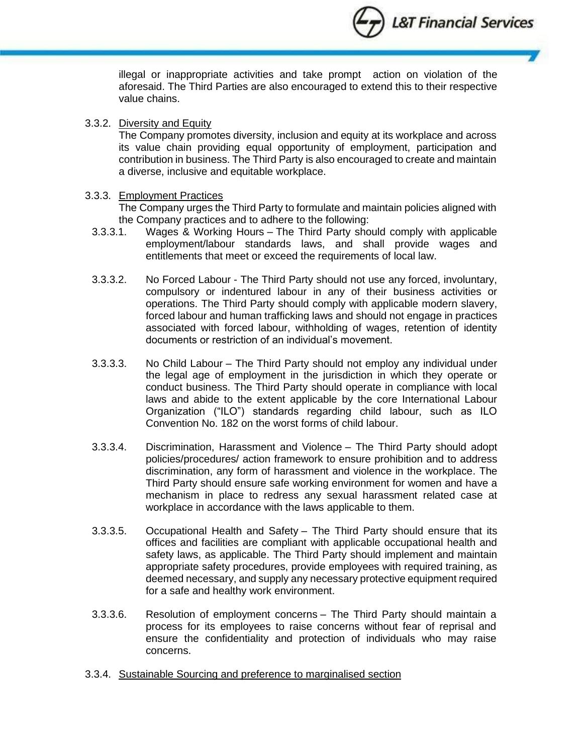L&T Financial Services

illegal or inappropriate activities and take prompt action on violation of the aforesaid. The Third Parties are also encouraged to extend this to their respective value chains.

### 3.3.2. Diversity and Equity

The Company promotes diversity, inclusion and equity at its workplace and across its value chain providing equal opportunity of employment, participation and contribution in business. The Third Party is also encouraged to create and maintain a diverse, inclusive and equitable workplace.

## 3.3.3. Employment Practices

The Company urges the Third Party to formulate and maintain policies aligned with the Company practices and to adhere to the following:

- 3.3.3.1. Wages & Working Hours The Third Party should comply with applicable employment/labour standards laws, and shall provide wages and entitlements that meet or exceed the requirements of local law.
- 3.3.3.2. No Forced Labour The Third Party should not use any forced, involuntary, compulsory or indentured labour in any of their business activities or operations. The Third Party should comply with applicable modern slavery, forced labour and human trafficking laws and should not engage in practices associated with forced labour, withholding of wages, retention of identity documents or restriction of an individual's movement.
- 3.3.3.3. No Child Labour The Third Party should not employ any individual under the legal age of employment in the jurisdiction in which they operate or conduct business. The Third Party should operate in compliance with local laws and abide to the extent applicable by the core International Labour Organization ("ILO") standards regarding child labour, such as ILO Convention No. 182 on the worst forms of child labour.
- 3.3.3.4. Discrimination, Harassment and Violence The Third Party should adopt policies/procedures/ action framework to ensure prohibition and to address discrimination, any form of harassment and violence in the workplace. The Third Party should ensure safe working environment for women and have a mechanism in place to redress any sexual harassment related case at workplace in accordance with the laws applicable to them.
- 3.3.3.5. Occupational Health and Safety The Third Party should ensure that its offices and facilities are compliant with applicable occupational health and safety laws, as applicable. The Third Party should implement and maintain appropriate safety procedures, provide employees with required training, as deemed necessary, and supply any necessary protective equipment required for a safe and healthy work environment.
- 3.3.3.6. Resolution of employment concerns The Third Party should maintain a process for its employees to raise concerns without fear of reprisal and ensure the confidentiality and protection of individuals who may raise concerns.
- 3.3.4. Sustainable Sourcing and preference to marginalised section